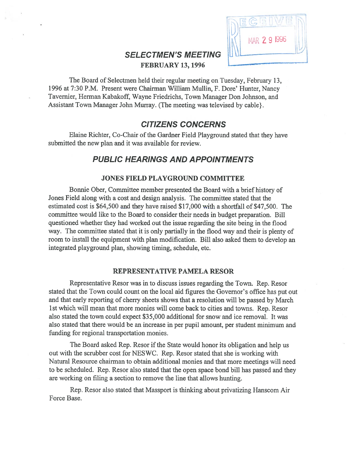

# SELECTMEN'S MEETING FEBRUARY 13, 1996

The Board of Selectmen held their regular meeting on Tuesday, February 13, 1996 at 7:30 P.M. Present were Chairman William Mullin, F. Dore' Hunter, Nancy Tavernier, Herman Kabakoff, Wayne Friedrichs, Town Manager Don Johnson, and Assistant Town Manager John Murray. (The meeting was televised by cable}.

# CITIZENS CONCERNS

Elaine Richter, Co-Chair of the Gardner Field Playground stated that they have submitted the new plan and it was available for review.

# PUBLIC HEARINGS AND APPOINTMENTS

## JONES FIELD PLAYGROUND COMMITTEE

Bonnie Ober, Committee member presented the Board with <sup>a</sup> brief history of Jones Field along with <sup>a</sup> cost and design analysis. The committee stated that the estimated cost is \$64,500 and they have raised \$17,000 with <sup>a</sup> shortfall of \$47,500. The committee would like to the Board to consider their needs in budget preparation. Bill questioned whether they had worked out the issue regarding the site being in the flood way. The committee stated that it is only partially in the flood way and their is plenty of room to install the equipment with plan modification. Bill also asked them to develop an integrated playground plan, showing timing, schedule, etc.

### REPRESENTATIVE PAMELA RESOR

Representative Resor was in to discuss issues regarding the Town. Rep. Resor stated that the Town could count on the local aid figures the Governor's office has pu<sup>t</sup> out and that early reporting of cherry sheets shows that <sup>a</sup> resolution will be passed by March 1st which will mean that more monies will come back to cities and towns. Rep. Resor also stated the town could expec<sup>t</sup> \$35,000 additional for snow and ice removal. It was also stated that there would be an increase in per pupil amount, per student minimum and funding for regional transportation monies.

The Board asked Rep. Resor if the State would honor its obligation and help us out with the scrubber cost for NESWC. Rep. Resor stated that she is working with Natural Resource chairman to obtain additional monies and that more meetings will need to be scheduled. Rep. Resor also stated that the open space bond bill has passed and they are working on filing <sup>a</sup> section to remove the line that allows hunting.

Rep. Resor also stated that Massport is thinking about privatizing Hanscom Air Force Base.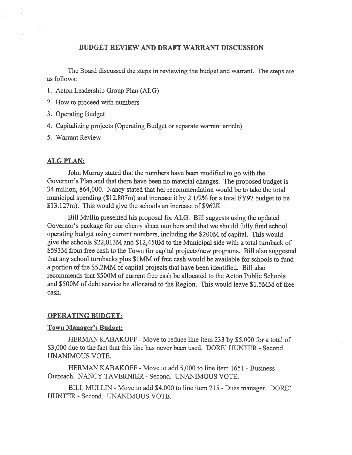## BUDGET REVIEW AND DRAFT WARRANT DISCUSSION

The Board discussed the steps in reviewing the budget and warrant. The steps are as follows:

- 1. Acton Leadership Group Plan (ALG)
- 2. How to proceed with numbers
- 3. Operating Budget
- 4. Capitalizing projects (Operating Budget or separate warrant article)

5. Warrant Review

## ALG PLAN:

John Murray stated that the numbers have been modified to go with the Governor's Plan and that there have been no material changes. The proposed budget is 34 million, 864,000. Nancy stated that her recommendation would be to take the total municipal spending (\$12.807m) and increase it by <sup>2</sup> 1/2% for <sup>a</sup> total FY97 budget to be \$13.127m). This would <sup>g</sup>ive the schools an increase of \$962K

Bill Mullin presented his proposal for ALG. Bill suggests using the updated Governor's package for our cherry sheet numbers and that we should fully fund school operating budget using current numbers, including the \$200M of capital. This would give the schools \$22,013M and \$12,450M to the Municipal side with <sup>a</sup> total tumback of \$593M from free cash to the Town for capital projects/new programs. Bill also suggested that any school turnbacks plus \$1 MM of free cash would be available for schools to fund <sup>a</sup> portion of the \$5.2MM of capital projects that have been identified. Bill also recommends that \$500M of current free cash be allocated to the Acton Public Schools and \$500M of debt service be allocated to the Region. This would leave \$1 .5MM of free cash.

### OPERATING BUDGET:

### Town Manager's Budget:

HERMAN KABAKOFF - Move to reduce line item 233 by \$5,000 for a total of \$3,000 due to the fact that this line has never been used. DORE' HUNTER - Second. UNANIMOUS VOTE.

HERMAN KABAKOFF - Move to add 5,000 to line item 1651 - Business Outreach. NANCY TAVERNIER - Second. UNANIMOUS VOTE.

BILL MULLIN - Move to add \$4,000 to line item 215 - Dues manager. DORE' HUNTER - Second. UNANIMOUS VOTE.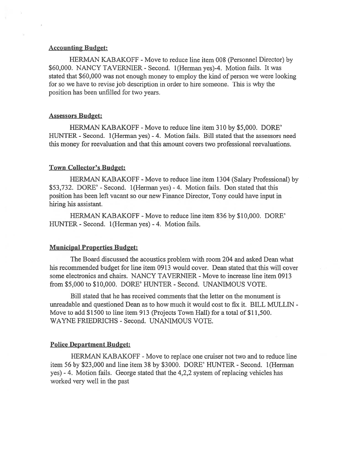## Accounting Budget:

HERMAN KABAKOFF -Move to reduce line item 00\$ (Personnel Director) by \$60,000. NANCY TAVERNIER - Second. 1(Herman yes)-4. Motion fails. It was stated that \$60,000 was not enough money to employ the kind of person we were looking for so we have to revise job description in order to hire someone. This is why the position has been unfilled for two years.

#### Assessors Budget:

HERMAN KABAKOFF - Move to reduce line item 310 by \$5,000. DORE' HUNTER - Second. 1(Herman yes) - 4. Motion fails. Bill stated that the assessors need this money for reevaluation and that this amount covers two professional reevaluations.

#### Town Collector's Budget:

HERMAN KABAKOFF - Move to reduce line item 1304 (Salary Professional) by \$53,732. DORE' - Second. 1(Herman yes) - 4. Motion fails. Don stated that this position has been left vacant so our new finance Director, Tony could have input in hiring his assistant.

HERMAN KABAKOFF -Move to reduce line item \$36 by \$10,000. DORE' HUNTER - Second. 1 (Herman yes) - 4. Motion fails.

#### Municipal Properties Budget:

The Board discussed the acoustics problem with room 204 and asked Dean what his recommended budget for line item 0913 would cover. Dean stated that this will cover some electronics and chairs. NANCY TAVERNIER - Move to increase line item 0913 from \$5,000 to \$10,000. DORE' HUNTER - Second. UNANIMOUS VOTE.

Bill stated that he has received comments that the letter on the monument is unreadable and questioned Dean as to how much it would cost to fix it. BILL MULLIN - Move to add \$1500 to line item 913 (Projects Town Hall) for <sup>a</sup> total of \$11,500. WAYNE FRIEDRICHS - Second. UNANIMOUS VOTE.

### Police Department Budget:

HERMAN KABAKOFF - Move to replace one cruiser not two and to reduce line item 56 by \$23,000 and line item 3\$ by \$3000. DORE' HUNTER - Second. 1(Herman yes) - 4. Motion fails. George stated that the 4,2,2 system of replacing vehicles has worked very well in the pas<sup>t</sup>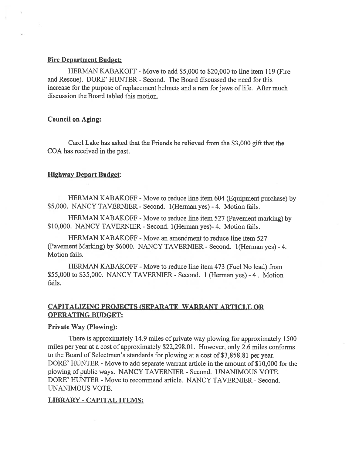#### Fire Department Budget:

HERMAN KABAKOFF - Move to add \$5,000 to \$20,000 to line item 119 (Fire and Rescue). DORE' HUNTER - Second. The Board discussed the need for this increase for the purpose of replacement helmets and <sup>a</sup> ram for jaws of life. After much discussion the Board tabled this motion.

## Council on Aging:

Carol Lake has asked that the Friends be relieved from the \$3,000 <sup>g</sup>ift that the COA has received in the past.

#### Highway Depart Budget:

HERMAN KABAKOFF -Move to reduce line item <sup>604</sup> (Equipment purchase) by \$5,000. NANCY TAVERNIER - Second. 1(Herman yes) - 4. Motion fails.

HERMAN KABAKOFF - Move to reduce line item 527 (Pavement marking) by \$10,000. NANCY TAVERNIER - Second. 1 (Herman yes) - 4. Motion fails.

HERMAN KABAKOFF - Move an amendment to reduce line item 527 (Pavement Marking) by \$6000. NANCY TAVERNIER - Second. 1(Herman yes) - 4. Motion fails.

HERMAN KABAKOFF - Move to reduce line item 473 (Fuel No lead) from \$55,000 to \$35,000. NANCY TAVERNIER -Second. <sup>1</sup> (Herman yes) -4. Motion fails.

## CAPITALIZING PROJECTS (SEPARATE WARRANT ARTICLE OR OPERATING BUDGET:

#### Private Way (Plowing):

There is approximately 14.9 miles of private way plowing for approximately 1500 miles per year at <sup>a</sup> cost of approximately \$22,298.01. However, only 2.6 miles conforms to the Board of Selectmen's standards for <sup>p</sup>lowing at <sup>a</sup> cost of \$3,858.81 per year. DORE' HUNTER - Move to add separate warrant article in the amount of \$10,000 for the plowing of public ways. NANCY TAVERNIER - Second. UNANIMOUS VOTE. DORE' HUNTER - Move to recommend article. NANCY TAVERNIER - Second. UNANIMOUS VOTE.

### LIBRARY -CAPITAL ITEMS: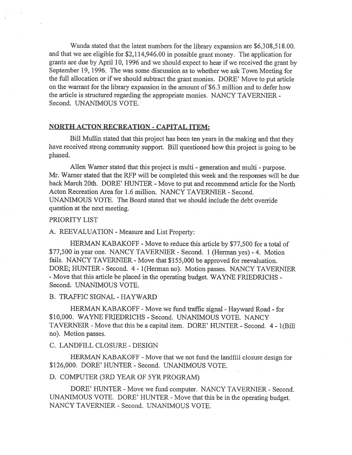Wanda stated that the latest numbers for the library expansion are \$6,308,518.00. and that we are eligible for \$2,114,946.00 in possible gran<sup>t</sup> money. The application for grants are due by April 10, <sup>1996</sup> and we should expec<sup>t</sup> to hear if we received the gran<sup>t</sup> by September 19, 1996. The was some discussion as to whether we ask Town Meeting for the full allocation or if we should subtract the gran<sup>t</sup> monies. DORE' Move to pu<sup>t</sup> article on the warrant for the library expansion in the amount of \$6.3 million and to defer how the article is structured regarding the appropriate monies. NANCY TAVERNIER - Second. UNANIMOUS VOTE.

## NORTH ACTON RECREATION -CAPITAL ITEM:

Bill Mullin stated that this project has been ten years in the making and that they have received strong community support. Bill questioned how this project is going to be phased.

Allen Warner stated that this project is multi - generation and multi - purpose. Mr. Warner stated that the RFP will be completed this week and the responses will be due back March 20th. DORE' HUNTER - Move to put and recommend article for the North Acton Recreation Area for 1.6 million. NANCY TAVERNIER - Second. UNANIMOUS VOTE. The Board stated that we should include the debt override question at the next meeting.

#### PRIORITY LIST

A. REEVALUATION - Measure and List Property:

HERMAN KABAKOFF - Move to reduce this article by \$77,500 for a total of \$77,500 in year one. NANCY TAVERNIER - Second. <sup>1</sup> (Herman yes) -4. Motion fails. NANCY TAVERNIER - Move that \$155,000 be approved for reevaluation. DORE; HUNTER - Second. 4- 1(Herman no). Motion passes. NANCY TAVERNIER -Move that this article be placed in the operating budget. WAYNE FRIEDRICHS - Second. UNANIMOUS VOTE.

B. TRAFFIC SIGNAL -HAYWARD

HERMAN KABAKOFF - Move we fund traffic signal - Hayward Road - for \$10,000. WAYNE FRIEDRICHS - Second. UNANIMOUS VOTE. NANCY TAVERNEIR - Move that this be <sup>a</sup> capital item. DORE' HUNTER - Second. 4 - 1(Bill no). Motion passes.

## C. LANDFILL CLOSURE -DESIGN

HERMAN KABAKOFF - Move that we not fund the landfill closure design for \$126,000. DORE' HUNTER - Second. UNANIMOUS VOTE.

#### D. COMPUTER (3RD YEAR OF 5YR PROGRAM)

DORE' HUNTER - Move we fund computer. NANCY TAVERNIER - Second. UNANIMOUS VOTE. DORE' HUNTER - Move that this be in the operating budget. NANCY TAVERNIER -Second. UNANIMOUS VOTE.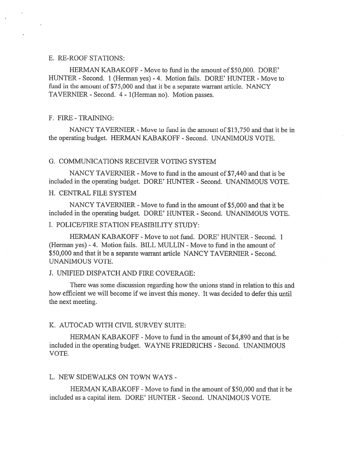## E. RE-ROOF STATIONS:

HERMAN KABAKOFF - Move to fund in the amount of \$50,000. DORE' HUNTER - Second. 1 (Herman yes) - 4. Motion fails. DORE' HUNTER - Move to fund in the amount of \$75,000 and that it be <sup>a</sup> separate warrant article. NANCY TAVERNIER - Second. 4 - 1 (Herman no). Motion passes.

#### F. FIRE -TRAINING:

NANCY TAVERNIER - Move to fund in the amount of \$13,750 and that it be in the operating budget. HERMAN KABAKOFF -Second. UNANIMOUS VOTE.

## G. COMMUNICATIONS RECEIVER VOTING SYSTEM

NANCY TAVERNIER - Move to fund in the amount of \$7,440 and that is be included in the operating budget. DORE' HUNTER - Second. UNANIMOUS VOTE.

## H. CENTRAL FILE SYSTEM

NANCY TAVERNIER - Move to fund in the amount of \$5,000 and that it be included in the operating budget. DORE' HUNTER -Second. UNANIMOUS VOTE.

## I. POLICE/FIRE STATION FEASIBILITY STUDY:

HERMAN KABAKOFF - Move to not fund. DORE' HUNTER - Second. 1 (Herman yes) - 4. Motion fails. BILL MULLIN - Move to fund in the amount of \$50,000 and that it be <sup>a</sup> separate warrant article NANCY TAVERNIER - Second. UNANIMOUS VOTE.

#### J. UNIFIED DISPATCH AND FIRE COVERAGE:

There was some discussion regarding how the unions stand in relation to this and how efficient we will become if we invest this money. It was decided to defer this until the next meeting.

#### K. AUTOCAD WITH CIVIL SURVEY SUITE:

HERMAN KABAKOFF - Move to fund in the amount of \$4,890 and that is be included in the operating budget. WAYNE FRIEDRICHS - Second. UNANIMOUS VOTE.

## L. NEW SIDEWALKS ON TOWN WAYS -

HERMAN KABAKOFF - Move to fund in the amount of \$50,000 and that it be included as <sup>a</sup> capital item. DORE' HUNTER - Second. UNANIMOUS VOTE.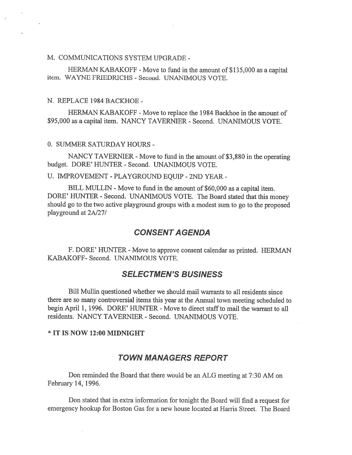## M. COMMUNICATIONS SYSTEM UPGRADE -

HERMAN KABAKOFF - Move to fund in the amount of \$135,000 as a capital item. WAYNE FRIEDRICHS - Second. UNANIMOUS VOTE.

#### N. REPLACE 1984 BACKHOE -

HERMAN KABAKOFF - Move to replace the 1984 Backhoe in the amount of \$95,000 as a capital item. NANCY TAVERNIER - Second. UNANIMOUS VOTE.

0. SUMMER SATURDAY HOURS -

NANCY TAVERNIER - Move to fund in the amount of \$3,880 in the operating budget. DORE' HUNTER -Second. UNANIMOUS VOTE.

U. IMPROVEMENT -PLAYGROUND EQUIP -2ND YEAR -

BILL MULLIN - Move to fund in the amount of \$60,000 as <sup>a</sup> capital item. DORE' HUNTER - Second. UNANIMOUS VOTE. The Board stated that this money should go to the two active <sup>p</sup>layground groups with <sup>a</sup> modest sum to go to the propose<sup>d</sup> playground at 2A/27/

## CONSENT AGENDA

F. DORE' HUNTER - Move to approve consent calendar as printed. HERMAN KABAKOFF- Second. UNANIMOUS VOTE.

## SELECTMEN'S BUSINESS

Bill Mullin questioned whether we should mail warrants to all residents since there are so many controversial items this year at the Annual town meeting scheduled to begin April 1, 1996. DORE' HUNTER - Move to direct staff to mail the warrant to all residents. NANCY TAVERNIER - Second. UNANIMOUS VOTE.

#### \* IT IS NOW 12:00 MIDNIGHT

 $\mathcal{F}_{\mathcal{C}}$ 

## TOWN MANAGERS REPORT

Don reminded the Board that there would be an ALG meeting at 7:30 AM on February 14, 1996.

Don stated that in extra information for tonight the Board will find <sup>a</sup> reques<sup>t</sup> for emergency hookup for Boston Gas for <sup>a</sup> new house located at Harris Street. The Board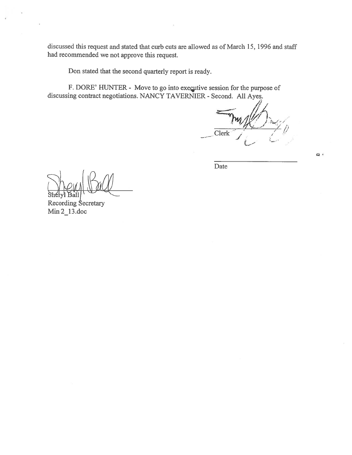discussed this reques<sup>t</sup> and stated that curb cuts are allowed as of March 15, 1996 and staff had recommended we not approve this request.

Don stated that the second quarterly repor<sup>t</sup> is ready.

F. DORE' HUNTER - Move to go into executive session for the purpose of discussing contract negotiations. NANCY TAVERNIER - Second. All Ayes.

Clerk

 $\mathbf{a}$ 

Date

Ball

Recording Secretary Min 2\_13.doc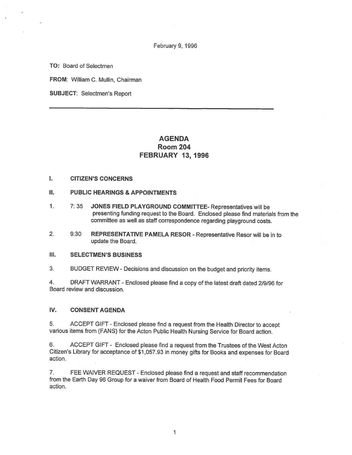February 9, 1996

TO: Board of Selectmen

FROM: William C. Mullin, Chairman

SUBJECT: Selectmen's Report

## AGENDA Room 204 FEBRUARY 13, 1996

#### I. CITIZEN'S CONCERNS

#### II. PUBLIC HEARINGS & APPOINTMENTS

- 1. 7: <sup>35</sup> JONES FIELD PLAYGROUND COMMITTEE- Representatives will be presenting funding reques<sup>t</sup> to the Board. Enclosed <sup>p</sup>lease find materials from the committee as well as staff correspondence regarding <sup>p</sup>layground costs.
- 2. 9:30 REPRESENTATIVE PAMELA RESOR -Representative Resor will be in to update the Board.

#### III. SELECTMEN'S BUSINESS

3. BUDGET REVIEW- Decisions and discussion on the budget and priority items.

4. DRAFT WARRANT -Enclosed <sup>p</sup>lease find <sup>a</sup> copy of the latest draft dated 2/9/96 for Board review and discussion.

#### IV. CONSENT AGENDA

5. ACCEPT GIFT -Enclosed <sup>p</sup>lease find <sup>a</sup> reques<sup>t</sup> from the Health Director to accep<sup>t</sup> various items from (FANS) for the Acton Public Health Nursing Service for Board action.

6. ACCEPT GIFT - Enclosed <sup>p</sup>lease find <sup>a</sup> reques<sup>t</sup> from the Trustees of the West Acton Citizen's Library for acceptance of \$1,057.93 in money <sup>g</sup>ifts for Books and expenses for Board action.

7. FEE WAIVER REQUEST - Enclosed <sup>p</sup>lease find <sup>a</sup> reques<sup>t</sup> and staff recommendation from the Earth Day 96 Group for <sup>a</sup> waiver from Board of Health Food Permit Fees for Board action.